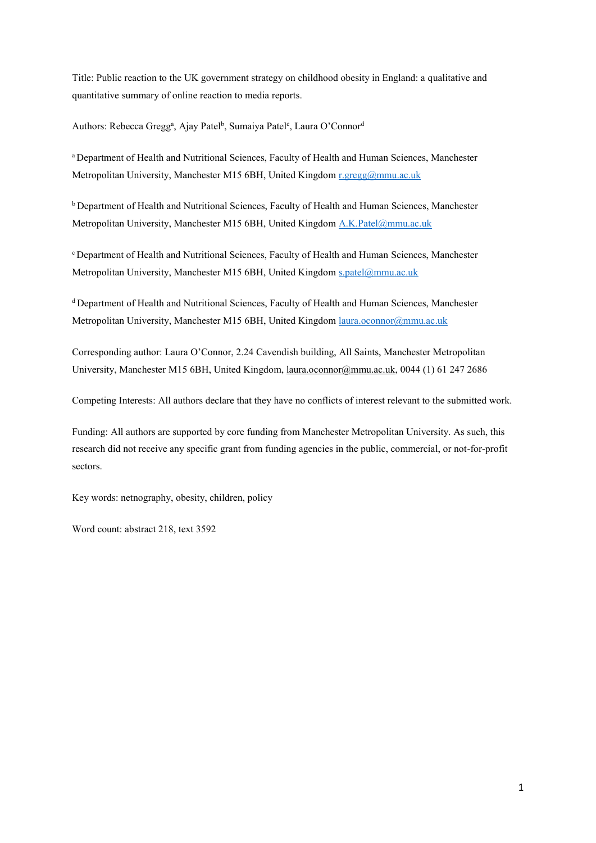Title: Public reaction to the UK government strategy on childhood obesity in England: a qualitative and quantitative summary of online reaction to media reports.

Authors: Rebecca Gregg<sup>a</sup>, Ajay Patel<sup>b</sup>, Sumaiya Patel<sup>c</sup>, Laura O'Connor<sup>d</sup>

a Department of Health and Nutritional Sciences, Faculty of Health and Human Sciences, Manchester Metropolitan University, Manchester M15 6BH, United Kingdom [r.gregg@mmu.ac.uk](mailto:r.gregg@mmu.ac.uk)

<sup>b</sup> Department of Health and Nutritional Sciences, Faculty of Health and Human Sciences, Manchester Metropolitan University, Manchester M15 6BH, United Kingdom [A.K.Patel@mmu.ac.uk](mailto:A.K.Patel@mmu.ac.uk)

<sup>c</sup> Department of Health and Nutritional Sciences, Faculty of Health and Human Sciences, Manchester Metropolitan University, Manchester M15 6BH, United Kingdom [s.patel@mmu.ac.uk](mailto:s.patel@mmu.ac.uk)

<sup>d</sup> Department of Health and Nutritional Sciences, Faculty of Health and Human Sciences, Manchester Metropolitan University, Manchester M15 6BH, United Kingdom [laura.oconnor@mmu.ac.uk](mailto:laura.oconnor@mmu.ac.uk)

Corresponding author: Laura O'Connor, 2.24 Cavendish building, All Saints, Manchester Metropolitan University, Manchester M15 6BH, United Kingdom, [laura.oconnor@mmu.ac.uk,](mailto:laura.oconnor@mmu.ac.uk) 0044 (1) 61 247 2686

Competing Interests: All authors declare that they have no conflicts of interest relevant to the submitted work.

Funding: All authors are supported by core funding from Manchester Metropolitan University. As such, this research did not receive any specific grant from funding agencies in the public, commercial, or not-for-profit sectors.

Key words: netnography, obesity, children, policy

Word count: abstract 218, text 3592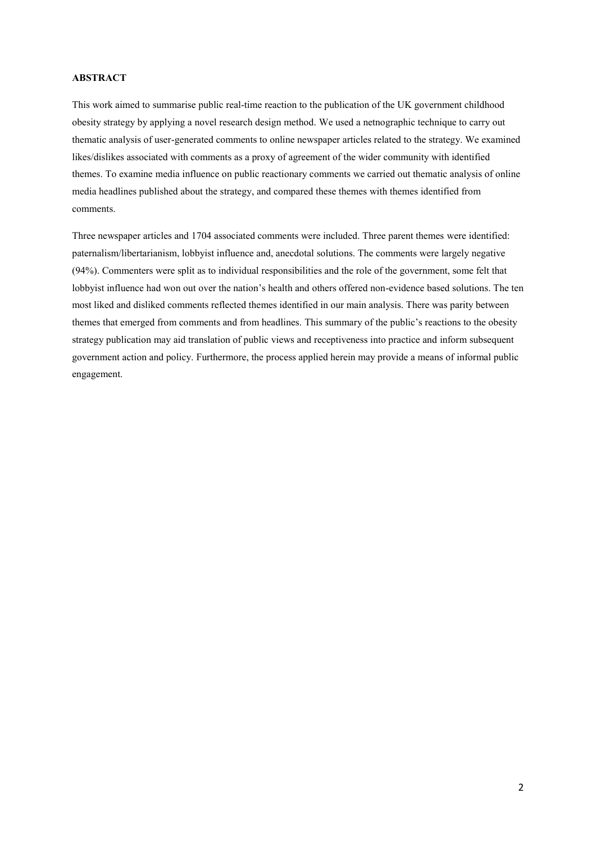## **ABSTRACT**

This work aimed to summarise public real-time reaction to the publication of the UK government childhood obesity strategy by applying a novel research design method. We used a netnographic technique to carry out thematic analysis of user-generated comments to online newspaper articles related to the strategy. We examined likes/dislikes associated with comments as a proxy of agreement of the wider community with identified themes. To examine media influence on public reactionary comments we carried out thematic analysis of online media headlines published about the strategy, and compared these themes with themes identified from comments.

Three newspaper articles and 1704 associated comments were included. Three parent themes were identified: paternalism/libertarianism, lobbyist influence and, anecdotal solutions. The comments were largely negative (94%). Commenters were split as to individual responsibilities and the role of the government, some felt that lobbyist influence had won out over the nation's health and others offered non-evidence based solutions. The ten most liked and disliked comments reflected themes identified in our main analysis. There was parity between themes that emerged from comments and from headlines. This summary of the public's reactions to the obesity strategy publication may aid translation of public views and receptiveness into practice and inform subsequent government action and policy. Furthermore, the process applied herein may provide a means of informal public engagement.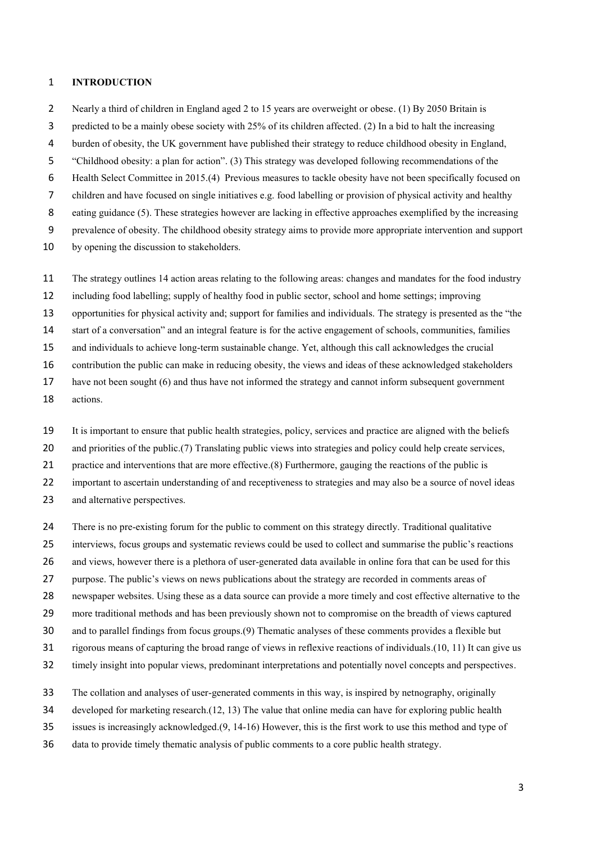# **INTRODUCTION**

- 2 Nearly a third of children in England aged 2 to 15 years are overweight or obese. (1) By 2050 Britain is
- predicted to be a mainly obese society with 25% of its children affected. (2) In a bid to halt the increasing
- burden of obesity, the UK government have published their strategy to reduce childhood obesity in England,
- "Childhood obesity: a plan for action". (3) This strategy was developed following recommendations of the
- Health Select Committee in 2015.(4) Previous measures to tackle obesity have not been specifically focused on
- children and have focused on single initiatives e.g. food labelling or provision of physical activity and healthy
- 8 eating guidance (5). These strategies however are lacking in effective approaches exemplified by the increasing
- prevalence of obesity. The childhood obesity strategy aims to provide more appropriate intervention and support
- by opening the discussion to stakeholders.
- The strategy outlines 14 action areas relating to the following areas: changes and mandates for the food industry
- including food labelling; supply of healthy food in public sector, school and home settings; improving
- opportunities for physical activity and; support for families and individuals. The strategy is presented as the "the
- start of a conversation" and an integral feature is for the active engagement of schools, communities, families
- and individuals to achieve long-term sustainable change. Yet, although this call acknowledges the crucial
- contribution the public can make in reducing obesity, the views and ideas of these acknowledged stakeholders
- have not been sought (6) and thus have not informed the strategy and cannot inform subsequent government
- actions.
- It is important to ensure that public health strategies, policy, services and practice are aligned with the beliefs
- 20 and priorities of the public.(7) Translating public views into strategies and policy could help create services,
- practice and interventions that are more effective.(8) Furthermore, gauging the reactions of the public is
- important to ascertain understanding of and receptiveness to strategies and may also be a source of novel ideas
- 23 and alternative perspectives.
- There is no pre-existing forum for the public to comment on this strategy directly. Traditional qualitative
- interviews, focus groups and systematic reviews could be used to collect and summarise the public's reactions
- and views, however there is a plethora of user-generated data available in online fora that can be used for this
- purpose. The public's views on news publications about the strategy are recorded in comments areas of
- newspaper websites. Using these as a data source can provide a more timely and cost effective alternative to the
- more traditional methods and has been previously shown not to compromise on the breadth of views captured
- and to parallel findings from focus groups.(9) Thematic analyses of these comments provides a flexible but
- rigorous means of capturing the broad range of views in reflexive reactions of individuals.(10, 11) It can give us
- timely insight into popular views, predominant interpretations and potentially novel concepts and perspectives.
- The collation and analyses of user-generated comments in this way, is inspired by netnography, originally
- developed for marketing research.(12, 13) The value that online media can have for exploring public health
- issues is increasingly acknowledged.(9, 14-16) However, this is the first work to use this method and type of
- data to provide timely thematic analysis of public comments to a core public health strategy.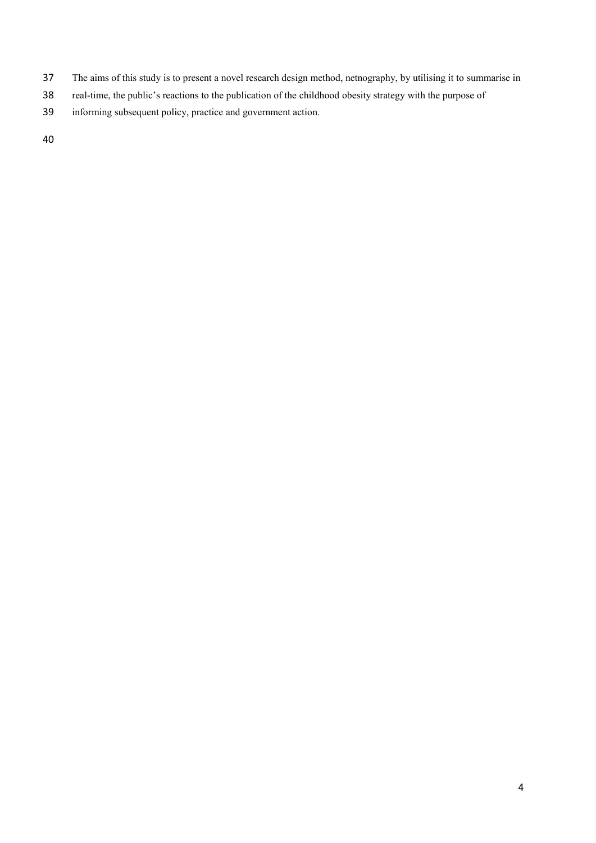- The aims of this study is to present a novel research design method, netnography, by utilising it to summarise in
- real-time, the public's reactions to the publication of the childhood obesity strategy with the purpose of
- informing subsequent policy, practice and government action.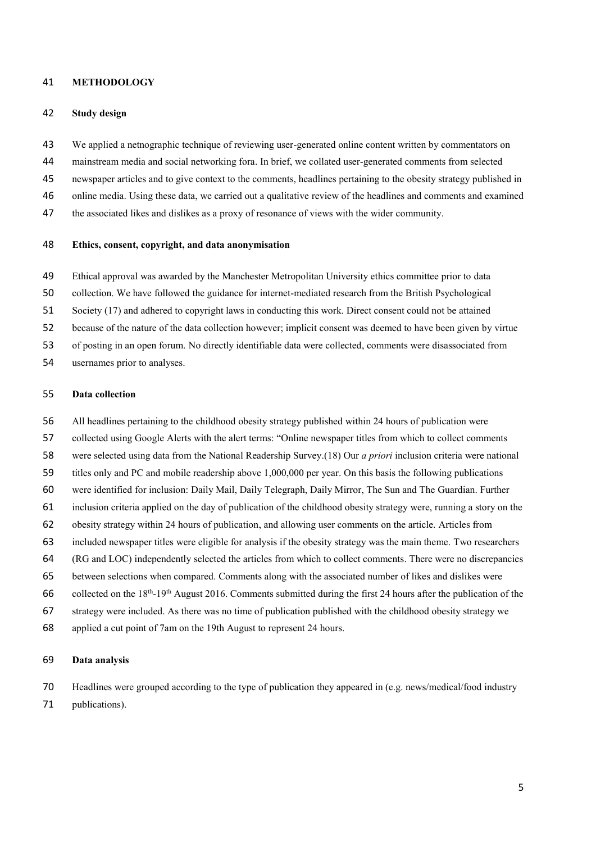## **METHODOLOGY**

#### **Study design**

- We applied a netnographic technique of reviewing user-generated online content written by commentators on
- mainstream media and social networking fora. In brief, we collated user-generated comments from selected
- newspaper articles and to give context to the comments, headlines pertaining to the obesity strategy published in
- online media. Using these data, we carried out a qualitative review of the headlines and comments and examined
- the associated likes and dislikes as a proxy of resonance of views with the wider community.

### **Ethics, consent, copyright, and data anonymisation**

- Ethical approval was awarded by the Manchester Metropolitan University ethics committee prior to data
- collection. We have followed the guidance for internet-mediated research from the British Psychological
- Society (17) and adhered to copyright laws in conducting this work. Direct consent could not be attained
- because of the nature of the data collection however; implicit consent was deemed to have been given by virtue
- of posting in an open forum. No directly identifiable data were collected, comments were disassociated from
- usernames prior to analyses.

## **Data collection**

- All headlines pertaining to the childhood obesity strategy published within 24 hours of publication were
- collected using Google Alerts with the alert terms: "Online newspaper titles from which to collect comments
- were selected using data from the National Readership Survey.(18) Our *a priori* inclusion criteria were national
- titles only and PC and mobile readership above 1,000,000 per year. On this basis the following publications
- were identified for inclusion: Daily Mail, Daily Telegraph, Daily Mirror, The Sun and The Guardian. Further
- inclusion criteria applied on the day of publication of the childhood obesity strategy were, running a story on the
- obesity strategy within 24 hours of publication, and allowing user comments on the article. Articles from
- included newspaper titles were eligible for analysis if the obesity strategy was the main theme. Two researchers
- (RG and LOC) independently selected the articles from which to collect comments. There were no discrepancies
- between selections when compared. Comments along with the associated number of likes and dislikes were
- 66 collected on the 18<sup>th</sup>-19<sup>th</sup> August 2016. Comments submitted during the first 24 hours after the publication of the
- strategy were included. As there was no time of publication published with the childhood obesity strategy we
- applied a cut point of 7am on the 19th August to represent 24 hours.

#### **Data analysis**

 Headlines were grouped according to the type of publication they appeared in (e.g. news/medical/food industry publications).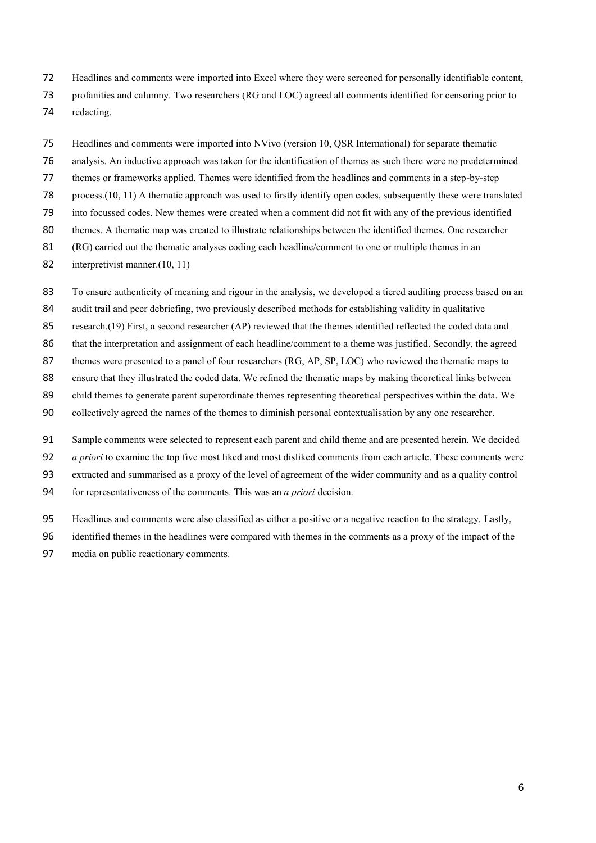- Headlines and comments were imported into Excel where they were screened for personally identifiable content,
- profanities and calumny. Two researchers (RG and LOC) agreed all comments identified for censoring prior to
- redacting.
- Headlines and comments were imported into NVivo (version 10, QSR International) for separate thematic
- analysis. An inductive approach was taken for the identification of themes as such there were no predetermined
- themes or frameworks applied. Themes were identified from the headlines and comments in a step-by-step
- process.(10, 11) A thematic approach was used to firstly identify open codes, subsequently these were translated
- into focussed codes. New themes were created when a comment did not fit with any of the previous identified
- themes. A thematic map was created to illustrate relationships between the identified themes. One researcher
- (RG) carried out the thematic analyses coding each headline/comment to one or multiple themes in an
- [interpretivist](https://www.google.co.uk/search?hl=en&q=interpretivist&spell=1&sa=X&ved=0ahUKEwi0rYD_8JDPAhXpCsAKHYNEAa8QvwUIGygA) manner.(10, 11)
- To ensure authenticity of meaning and rigour in the analysis, we developed a tiered auditing process based on an
- audit trail and peer debriefing, two previously described methods for establishing validity in qualitative
- research.(19) First, a second researcher (AP) reviewed that the themes identified reflected the coded data and
- 86 that the interpretation and assignment of each headline/comment to a theme was justified. Secondly, the agreed
- 87 themes were presented to a panel of four researchers (RG, AP, SP, LOC) who reviewed the thematic maps to
- ensure that they illustrated the coded data. We refined the thematic maps by making theoretical links between
- child themes to generate parent superordinate themes representing theoretical perspectives within the data. We
- collectively agreed the names of the themes to diminish personal contextualisation by any one researcher.
- Sample comments were selected to represent each parent and child theme and are presented herein. We decided
- *a priori* to examine the top five most liked and most disliked comments from each article. These comments were
- extracted and summarised as a proxy of the level of agreement of the wider community and as a quality control
- for representativeness of the comments. This was an *a priori* decision.
- Headlines and comments were also classified as either a positive or a negative reaction to the strategy. Lastly,
- identified themes in the headlines were compared with themes in the comments as a proxy of the impact of the
- media on public reactionary comments.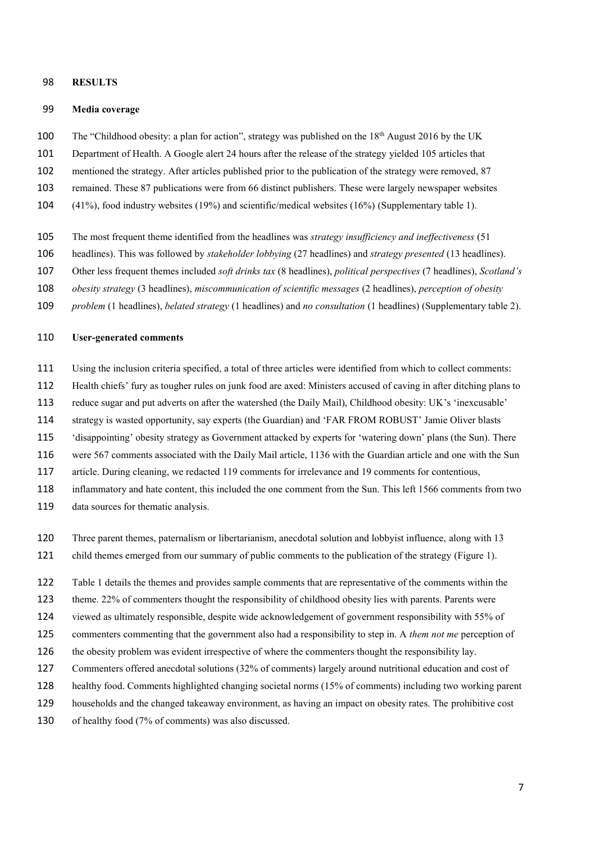## **RESULTS**

#### **Media coverage**

- 100 The "Childhood obesity: a plan for action", strategy was published on the 18<sup>th</sup> August 2016 by the UK
- Department of Health. A Google alert 24 hours after the release of the strategy yielded 105 articles that
- mentioned the strategy. After articles published prior to the publication of the strategy were removed, 87
- remained. These 87 publications were from 66 distinct publishers. These were largely newspaper websites
- (41%), food industry websites (19%) and scientific/medical websites (16%) (Supplementary table 1).
- The most frequent theme identified from the headlines was *strategy insufficiency and ineffectiveness* (51
- headlines). This was followed by *stakeholder lobbying* (27 headlines) and *strategy presented* (13 headlines).
- Other less frequent themes included *soft drinks tax* (8 headlines), *political perspectives* (7 headlines), *Scotland's*
- *obesity strategy* (3 headlines), *miscommunication of scientific messages* (2 headlines), *perception of obesity*
- *problem* (1 headlines), *belated strategy* (1 headlines) and *no consultation* (1 headlines) (Supplementary table 2).

## **User-generated comments**

- Using the inclusion criteria specified, a total of three articles were identified from which to collect comments:
- Health chiefs' fury as tougher rules on junk food are axed: Ministers accused of caving in after ditching plans to
- reduce sugar and put adverts on after the watershed (the Daily Mail), Childhood obesity: UK's 'inexcusable'
- strategy is wasted opportunity, say experts (the Guardian) and 'FAR FROM ROBUST' Jamie Oliver blasts
- 'disappointing' obesity strategy as Government attacked by experts for 'watering down' plans (the Sun). There
- were 567 comments associated with the Daily Mail article, 1136 with the Guardian article and one with the Sun
- article. During cleaning, we redacted 119 comments for irrelevance and 19 comments for contentious,
- inflammatory and hate content, this included the one comment from the Sun. This left 1566 comments from two
- data sources for thematic analysis.
- Three parent themes, paternalism or libertarianism, anecdotal solution and lobbyist influence, along with 13
- child themes emerged from our summary of public comments to the publication of the strategy (Figure 1).
- Table 1 details the themes and provides sample comments that are representative of the comments within the
- theme. 22% of commenters thought the responsibility of childhood obesity lies with parents. Parents were
- viewed as ultimately responsible, despite wide acknowledgement of government responsibility with 55% of
- commenters commenting that the government also had a responsibility to step in. A *them not me* perception of
- the obesity problem was evident irrespective of where the commenters thought the responsibility lay.
- Commenters offered anecdotal solutions (32% of comments) largely around nutritional education and cost of
- healthy food. Comments highlighted changing societal norms (15% of comments) including two working parent
- households and the changed takeaway environment, as having an impact on obesity rates. The prohibitive cost
- of healthy food (7% of comments) was also discussed.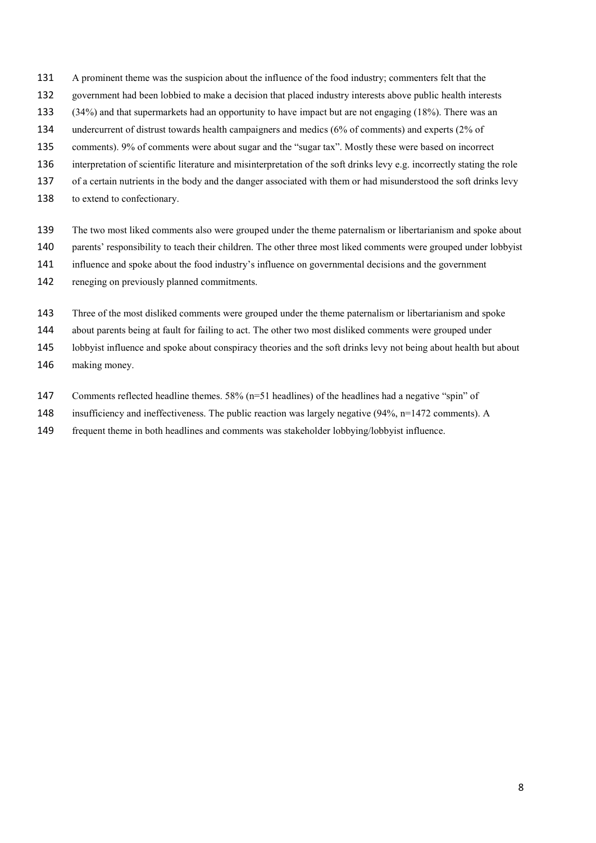- A prominent theme was the suspicion about the influence of the food industry; commenters felt that the
- government had been lobbied to make a decision that placed industry interests above public health interests
- (34%) and that supermarkets had an opportunity to have impact but are not engaging (18%). There was an
- undercurrent of distrust towards health campaigners and medics (6% of comments) and experts (2% of
- comments). 9% of comments were about sugar and the "sugar tax". Mostly these were based on incorrect
- interpretation of scientific literature and misinterpretation of the soft drinks levy e.g. incorrectly stating the role
- of a certain nutrients in the body and the danger associated with them or had misunderstood the soft drinks levy
- to extend to confectionary.
- The two most liked comments also were grouped under the theme paternalism or libertarianism and spoke about
- parents' responsibility to teach their children. The other three most liked comments were grouped under lobbyist
- influence and spoke about the food industry's influence on governmental decisions and the government
- reneging on previously planned commitments.
- Three of the most disliked comments were grouped under the theme paternalism or libertarianism and spoke
- about parents being at fault for failing to act. The other two most disliked comments were grouped under
- lobbyist influence and spoke about conspiracy theories and the soft drinks levy not being about health but about
- making money.
- Comments reflected headline themes. 58% (n=51 headlines) of the headlines had a negative "spin" of
- insufficiency and ineffectiveness. The public reaction was largely negative (94%, n=1472 comments). A
- frequent theme in both headlines and comments was stakeholder lobbying/lobbyist influence.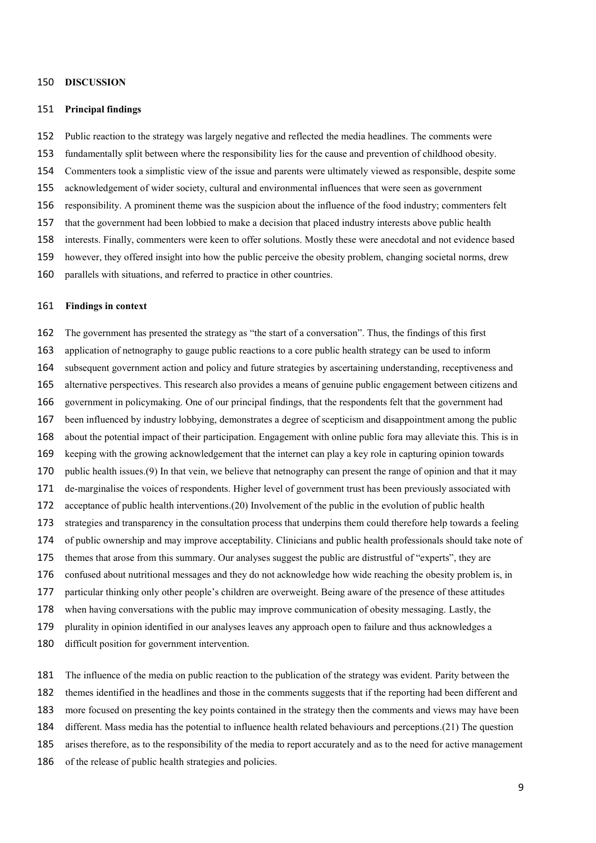### **DISCUSSION**

#### **Principal findings**

- Public reaction to the strategy was largely negative and reflected the media headlines. The comments were
- fundamentally split between where the responsibility lies for the cause and prevention of childhood obesity.
- Commenters took a simplistic view of the issue and parents were ultimately viewed as responsible, despite some
- acknowledgement of wider society, cultural and environmental influences that were seen as government
- responsibility. A prominent theme was the suspicion about the influence of the food industry; commenters felt
- that the government had been lobbied to make a decision that placed industry interests above public health
- interests. Finally, commenters were keen to offer solutions. Mostly these were anecdotal and not evidence based
- however, they offered insight into how the public perceive the obesity problem, changing societal norms, drew
- parallels with situations, and referred to practice in other countries.

#### **Findings in context**

The government has presented the strategy as "the start of a conversation". Thus, the findings of this first

- application of netnography to gauge public reactions to a core public health strategy can be used to inform
- subsequent government action and policy and future strategies by ascertaining understanding, receptiveness and
- alternative perspectives. This research also provides a means of genuine public engagement between citizens and
- government in policymaking. One of our principal findings, that the respondents felt that the government had
- been influenced by industry lobbying, demonstrates a degree of scepticism and disappointment among the public
- about the potential impact of their participation. Engagement with online public fora may alleviate this. This is in
- keeping with the growing acknowledgement that the internet can play a key role in capturing opinion towards
- public health issues.(9) In that vein, we believe that netnography can present the range of opinion and that it may
- de-marginalise the voices of respondents. Higher level of government trust has been previously associated with
- acceptance of public health interventions.(20) Involvement of the public in the evolution of public health
- strategies and transparency in the consultation process that underpins them could therefore help towards a feeling
- of public ownership and may improve acceptability. Clinicians and public health professionals should take note of
- themes that arose from this summary. Our analyses suggest the public are distrustful of "experts", they are
- confused about nutritional messages and they do not acknowledge how wide reaching the obesity problem is, in
- particular thinking only other people's children are overweight. Being aware of the presence of these attitudes
- when having conversations with the public may improve communication of obesity messaging. Lastly, the
- plurality in opinion identified in our analyses leaves any approach open to failure and thus acknowledges a
- difficult position for government intervention.
- The influence of the media on public reaction to the publication of the strategy was evident. Parity between the
- themes identified in the headlines and those in the comments suggests that if the reporting had been different and
- more focused on presenting the key points contained in the strategy then the comments and views may have been
- different. Mass media has the potential to influence health related behaviours and perceptions.(21) The question
- arises therefore, as to the responsibility of the media to report accurately and as to the need for active management
- of the release of public health strategies and policies.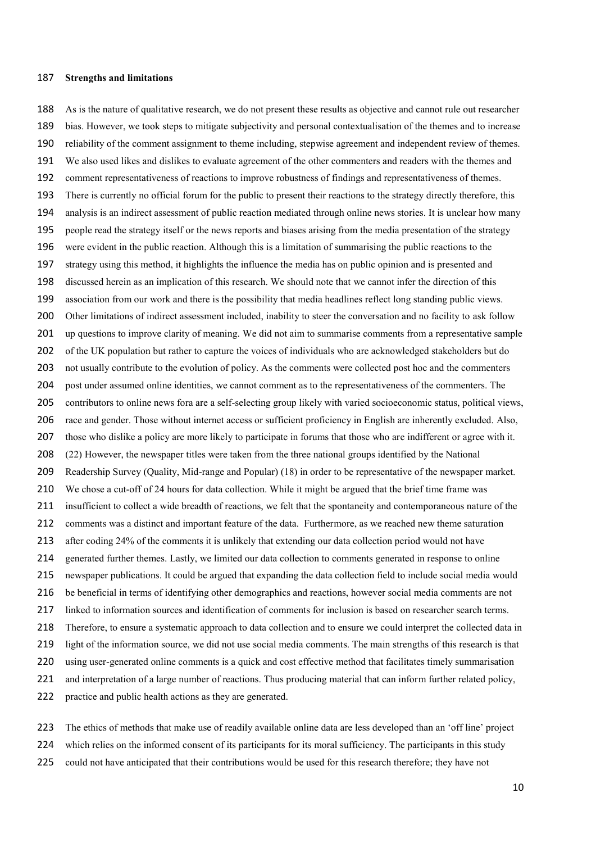#### **Strengths and limitations**

 As is the nature of qualitative research, we do not present these results as objective and cannot rule out researcher bias. However, we took steps to mitigate subjectivity and personal contextualisation of the themes and to increase reliability of the comment assignment to theme including, stepwise agreement and independent review of themes. We also used likes and dislikes to evaluate agreement of the other commenters and readers with the themes and comment representativeness of reactions to improve robustness of findings and representativeness of themes. There is currently no official forum for the public to present their reactions to the strategy directly therefore, this analysis is an indirect assessment of public reaction mediated through online news stories. It is unclear how many people read the strategy itself or the news reports and biases arising from the media presentation of the strategy were evident in the public reaction. Although this is a limitation of summarising the public reactions to the strategy using this method, it highlights the influence the media has on public opinion and is presented and discussed herein as an implication of this research. We should note that we cannot infer the direction of this association from our work and there is the possibility that media headlines reflect long standing public views. 200 Other limitations of indirect assessment included, inability to steer the conversation and no facility to ask follow 201 up questions to improve clarity of meaning. We did not aim to summarise comments from a representative sample of the UK population but rather to capture the voices of individuals who are acknowledged stakeholders but do not usually contribute to the evolution of policy. As the comments were collected post hoc and the commenters post under assumed online identities, we cannot comment as to the representativeness of the commenters. The contributors to online news fora are a self-selecting group likely with varied socioeconomic status, political views, race and gender. Those without internet access or sufficient proficiency in English are inherently excluded. Also, those who dislike a policy are more likely to participate in forums that those who are indifferent or agree with it. (22) However, the newspaper titles were taken from the three national groups identified by the National Readership Survey (Quality, Mid-range and Popular) (18) in order to be representative of the newspaper market. We chose a cut-off of 24 hours for data collection. While it might be argued that the brief time frame was insufficient to collect a wide breadth of reactions, we felt that the spontaneity and contemporaneous nature of the comments was a distinct and important feature of the data. Furthermore, as we reached new theme saturation after coding 24% of the comments it is unlikely that extending our data collection period would not have generated further themes. Lastly, we limited our data collection to comments generated in response to online newspaper publications. It could be argued that expanding the data collection field to include social media would be beneficial in terms of identifying other demographics and reactions, however social media comments are not linked to information sources and identification of comments for inclusion is based on researcher search terms. Therefore, to ensure a systematic approach to data collection and to ensure we could interpret the collected data in light of the information source, we did not use social media comments. The main strengths of this research is that using user-generated online comments is a quick and cost effective method that facilitates timely summarisation and interpretation of a large number of reactions. Thus producing material that can inform further related policy, practice and public health actions as they are generated.

 The ethics of methods that make use of readily available online data are less developed than an 'off line' project which relies on the informed consent of its participants for its moral sufficiency. The participants in this study 225 could not have anticipated that their contributions would be used for this research therefore; they have not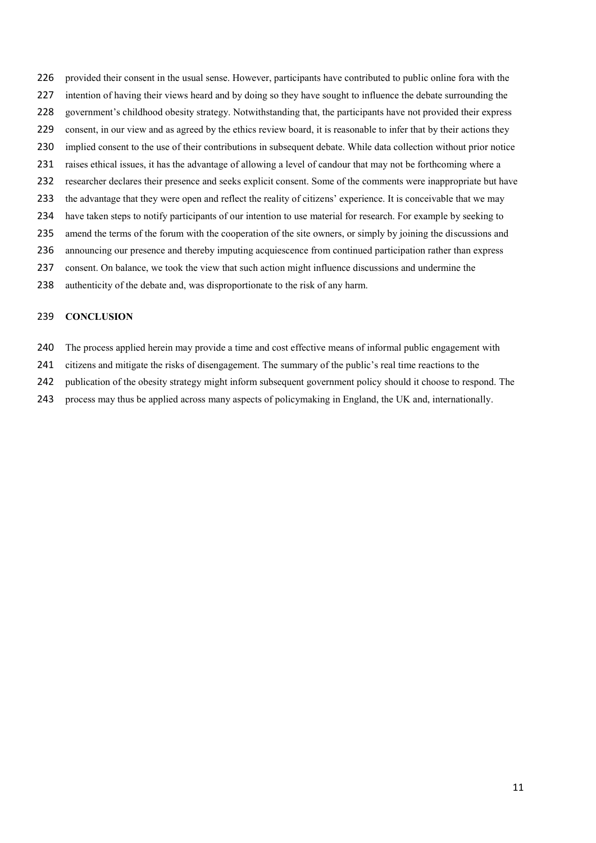- provided their consent in the usual sense. However, participants have contributed to public online fora with the intention of having their views heard and by doing so they have sought to influence the debate surrounding the government's childhood obesity strategy. Notwithstanding that, the participants have not provided their express 229 consent, in our view and as agreed by the ethics review board, it is reasonable to infer that by their actions they implied consent to the use of their contributions in subsequent debate. While data collection without prior notice raises ethical issues, it has the advantage of allowing a level of candour that may not be forthcoming where a researcher declares their presence and seeks explicit consent. Some of the comments were inappropriate but have the advantage that they were open and reflect the reality of citizens' experience. It is conceivable that we may have taken steps to notify participants of our intention to use material for research. For example by seeking to amend the terms of the forum with the cooperation of the site owners, or simply by joining the discussions and announcing our presence and thereby imputing acquiescence from continued participation rather than express
- consent. On balance, we took the view that such action might influence discussions and undermine the
- authenticity of the debate and, was disproportionate to the risk of any harm.

#### **CONCLUSION**

- The process applied herein may provide a time and cost effective means of informal public engagement with
- citizens and mitigate the risks of disengagement. The summary of the public's real time reactions to the
- publication of the obesity strategy might inform subsequent government policy should it choose to respond. The
- process may thus be applied across many aspects of policymaking in England, the UK and, internationally.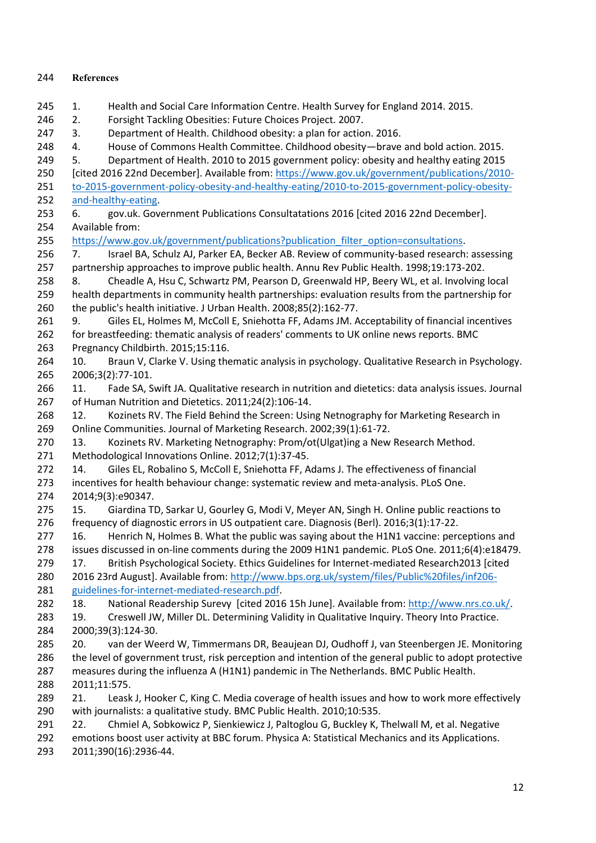# **References**

- 1. Health and Social Care Information Centre. Health Survey for England 2014. 2015.
- 2. Forsight Tackling Obesities: Future Choices Project. 2007.
- 3. Department of Health. Childhood obesity: a plan for action. 2016.
- 248 4. House of Commons Health Committee. Childhood obesity—brave and bold action. 2015.
- 5. Department of Health. 2010 to 2015 government policy: obesity and healthy eating 2015
- [cited 2016 22nd December]. Available from: [https://www.gov.uk/government/publications/2010-](https://www.gov.uk/government/publications/2010-to-2015-government-policy-obesity-and-healthy-eating/2010-to-2015-government-policy-obesity-and-healthy-eating)
- [to-2015-government-policy-obesity-and-healthy-eating/2010-to-2015-government-policy-obesity-](https://www.gov.uk/government/publications/2010-to-2015-government-policy-obesity-and-healthy-eating/2010-to-2015-government-policy-obesity-and-healthy-eating)[and-healthy-eating.](https://www.gov.uk/government/publications/2010-to-2015-government-policy-obesity-and-healthy-eating/2010-to-2015-government-policy-obesity-and-healthy-eating)
- 6. gov.uk. Government Publications Consultatations 2016 [cited 2016 22nd December]. Available from:
- 255 https://www.gov.uk/government/publications?publication filter option=consultations.
- 7. Israel BA, Schulz AJ, Parker EA, Becker AB. Review of community-based research: assessing partnership approaches to improve public health. Annu Rev Public Health. 1998;19:173-202.
- 8. Cheadle A, Hsu C, Schwartz PM, Pearson D, Greenwald HP, Beery WL, et al. Involving local health departments in community health partnerships: evaluation results from the partnership for the public's health initiative. J Urban Health. 2008;85(2):162-77.
- 9. Giles EL, Holmes M, McColl E, Sniehotta FF, Adams JM. Acceptability of financial incentives for breastfeeding: thematic analysis of readers' comments to UK online news reports. BMC Pregnancy Childbirth. 2015;15:116.
- 10. Braun V, Clarke V. Using thematic analysis in psychology. Qualitative Research in Psychology. 2006;3(2):77-101.
- 11. Fade SA, Swift JA. Qualitative research in nutrition and dietetics: data analysis issues. Journal of Human Nutrition and Dietetics. 2011;24(2):106-14.
- 12. Kozinets RV. The Field Behind the Screen: Using Netnography for Marketing Research in Online Communities. Journal of Marketing Research. 2002;39(1):61-72.
- 13. Kozinets RV. Marketing Netnography: Prom/ot(Ulgat)ing a New Research Method.
- Methodological Innovations Online. 2012;7(1):37-45.
- 14. Giles EL, Robalino S, McColl E, Sniehotta FF, Adams J. The effectiveness of financial incentives for health behaviour change: systematic review and meta-analysis. PLoS One. 2014;9(3):e90347.
- 15. Giardina TD, Sarkar U, Gourley G, Modi V, Meyer AN, Singh H. Online public reactions to frequency of diagnostic errors in US outpatient care. Diagnosis (Berl). 2016;3(1):17-22.
- 277 16. Henrich N, Holmes B. What the public was saying about the H1N1 vaccine: perceptions and issues discussed in on-line comments during the 2009 H1N1 pandemic. PLoS One. 2011;6(4):e18479.
- 17. British Psychological Society. Ethics Guidelines for Internet-mediated Research2013 [cited
- 2016 23rd August]. Available from: [http://www.bps.org.uk/system/files/Public%20files/inf206](http://www.bps.org.uk/system/files/Public%20files/inf206-guidelines-for-internet-mediated-research.pdf) [guidelines-for-internet-mediated-research.pdf.](http://www.bps.org.uk/system/files/Public%20files/inf206-guidelines-for-internet-mediated-research.pdf)
- 18. National Readership Surevy [cited 2016 15h June]. Available from: [http://www.nrs.co.uk/.](http://www.nrs.co.uk/) 283 19. Creswell JW, Miller DL. Determining Validity in Qualitative Inquiry. Theory Into Practice.
- 2000;39(3):124-30.
- 20. van der Weerd W, Timmermans DR, Beaujean DJ, Oudhoff J, van Steenbergen JE. Monitoring 286 the level of government trust, risk perception and intention of the general public to adopt protective measures during the influenza A (H1N1) pandemic in The Netherlands. BMC Public Health. 2011;11:575.
- 289 21. Leask J, Hooker C, King C. Media coverage of health issues and how to work more effectively with journalists: a qualitative study. BMC Public Health. 2010;10:535.
- 291 22. Chmiel A, Sobkowicz P, Sienkiewicz J, Paltoglou G, Buckley K, Thelwall M, et al. Negative
- emotions boost user activity at BBC forum. Physica A: Statistical Mechanics and its Applications.
- 2011;390(16):2936-44.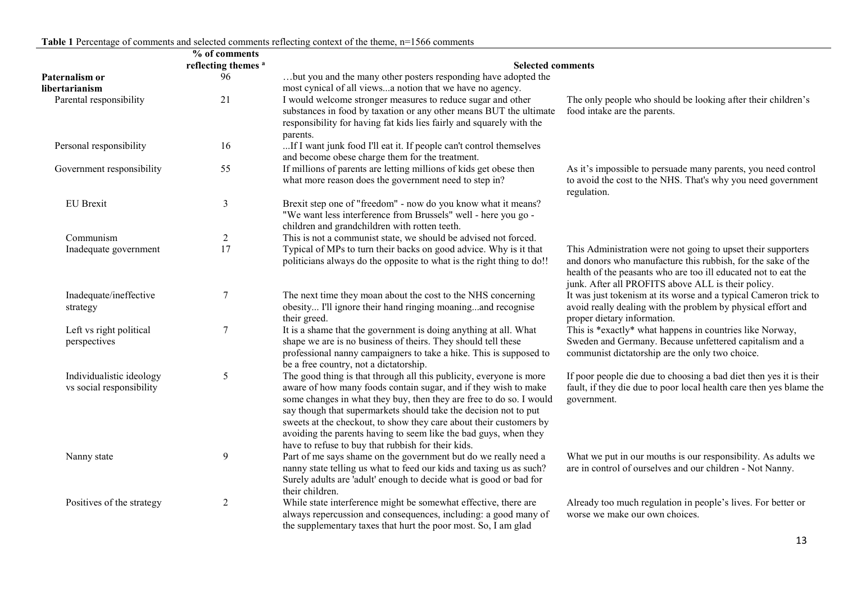|                                                      | % of comments                  |                                                                                                                                                                                                                                                                                                                                                                                                                                                                                   |                                                                                                                                                                                                                                                      |  |
|------------------------------------------------------|--------------------------------|-----------------------------------------------------------------------------------------------------------------------------------------------------------------------------------------------------------------------------------------------------------------------------------------------------------------------------------------------------------------------------------------------------------------------------------------------------------------------------------|------------------------------------------------------------------------------------------------------------------------------------------------------------------------------------------------------------------------------------------------------|--|
|                                                      | reflecting themes <sup>a</sup> | <b>Selected comments</b>                                                                                                                                                                                                                                                                                                                                                                                                                                                          |                                                                                                                                                                                                                                                      |  |
| Paternalism or<br>libertarianism                     | 96                             | but you and the many other posters responding have adopted the<br>most cynical of all viewsa notion that we have no agency.                                                                                                                                                                                                                                                                                                                                                       |                                                                                                                                                                                                                                                      |  |
| Parental responsibility                              | 21                             | I would welcome stronger measures to reduce sugar and other<br>substances in food by taxation or any other means BUT the ultimate<br>responsibility for having fat kids lies fairly and squarely with the<br>parents.                                                                                                                                                                                                                                                             | The only people who should be looking after their children's<br>food intake are the parents.                                                                                                                                                         |  |
| Personal responsibility                              | 16                             | If I want junk food I'll eat it. If people can't control themselves<br>and become obese charge them for the treatment.                                                                                                                                                                                                                                                                                                                                                            |                                                                                                                                                                                                                                                      |  |
| Government responsibility                            | 55                             | If millions of parents are letting millions of kids get obese then<br>what more reason does the government need to step in?                                                                                                                                                                                                                                                                                                                                                       | As it's impossible to persuade many parents, you need control<br>to avoid the cost to the NHS. That's why you need government<br>regulation.                                                                                                         |  |
| <b>EU</b> Brexit                                     | $\overline{3}$                 | Brexit step one of "freedom" - now do you know what it means?<br>"We want less interference from Brussels" well - here you go -<br>children and grandchildren with rotten teeth.                                                                                                                                                                                                                                                                                                  |                                                                                                                                                                                                                                                      |  |
| Communism                                            | $\overline{2}$                 | This is not a communist state, we should be advised not forced.                                                                                                                                                                                                                                                                                                                                                                                                                   |                                                                                                                                                                                                                                                      |  |
| Inadequate government                                | 17                             | Typical of MPs to turn their backs on good advice. Why is it that<br>politicians always do the opposite to what is the right thing to do!!                                                                                                                                                                                                                                                                                                                                        | This Administration were not going to upset their supporters<br>and donors who manufacture this rubbish, for the sake of the<br>health of the peasants who are too ill educated not to eat the<br>junk. After all PROFITS above ALL is their policy. |  |
| Inadequate/ineffective<br>strategy                   | $\boldsymbol{7}$               | The next time they moan about the cost to the NHS concerning<br>obesity I'll ignore their hand ringing moaningand recognise<br>their greed.                                                                                                                                                                                                                                                                                                                                       | It was just tokenism at its worse and a typical Cameron trick to<br>avoid really dealing with the problem by physical effort and<br>proper dietary information.                                                                                      |  |
| Left vs right political<br>perspectives              | $\boldsymbol{7}$               | It is a shame that the government is doing anything at all. What<br>shape we are is no business of theirs. They should tell these<br>professional nanny campaigners to take a hike. This is supposed to<br>be a free country, not a dictatorship.                                                                                                                                                                                                                                 | This is *exactly* what happens in countries like Norway,<br>Sweden and Germany. Because unfettered capitalism and a<br>communist dictatorship are the only two choice.                                                                               |  |
| Individualistic ideology<br>vs social responsibility | 5                              | The good thing is that through all this publicity, everyone is more<br>aware of how many foods contain sugar, and if they wish to make<br>some changes in what they buy, then they are free to do so. I would<br>say though that supermarkets should take the decision not to put<br>sweets at the checkout, to show they care about their customers by<br>avoiding the parents having to seem like the bad guys, when they<br>have to refuse to buy that rubbish for their kids. | If poor people die due to choosing a bad diet then yes it is their<br>fault, if they die due to poor local health care then yes blame the<br>government.                                                                                             |  |
| Nanny state                                          | $\boldsymbol{9}$               | Part of me says shame on the government but do we really need a<br>nanny state telling us what to feed our kids and taxing us as such?<br>Surely adults are 'adult' enough to decide what is good or bad for<br>their children.                                                                                                                                                                                                                                                   | What we put in our mouths is our responsibility. As adults we<br>are in control of ourselves and our children - Not Nanny.                                                                                                                           |  |
| Positives of the strategy                            | $\mathbf{2}$                   | While state interference might be somewhat effective, there are<br>always repercussion and consequences, including: a good many of<br>the supplementary taxes that hurt the poor most. So, I am glad                                                                                                                                                                                                                                                                              | Already too much regulation in people's lives. For better or<br>worse we make our own choices.                                                                                                                                                       |  |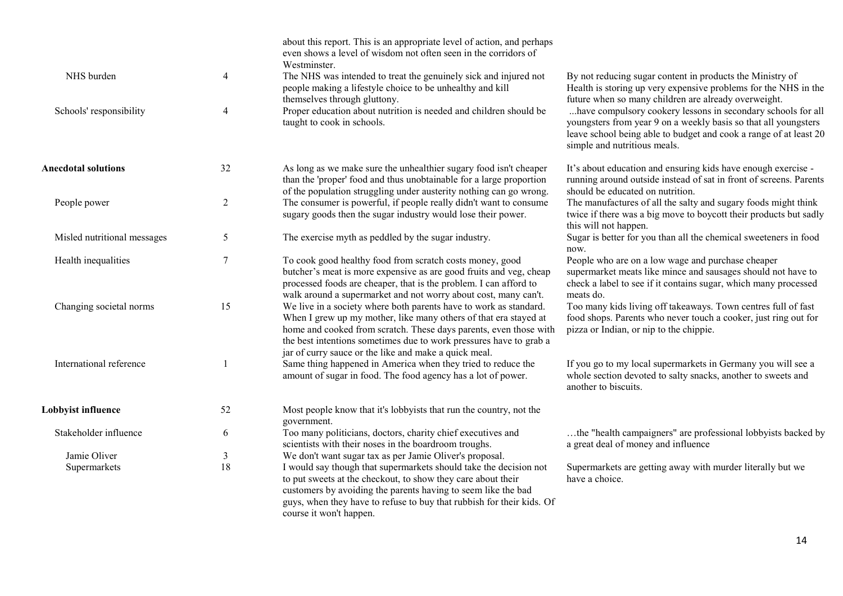|                             |                | about this report. This is an appropriate level of action, and perhaps<br>even shows a level of wisdom not often seen in the corridors of<br>Westminster.                                                                                                                                                                                 |                                                                                                                                                                                                                                      |
|-----------------------------|----------------|-------------------------------------------------------------------------------------------------------------------------------------------------------------------------------------------------------------------------------------------------------------------------------------------------------------------------------------------|--------------------------------------------------------------------------------------------------------------------------------------------------------------------------------------------------------------------------------------|
| NHS burden                  | $\overline{4}$ | The NHS was intended to treat the genuinely sick and injured not<br>people making a lifestyle choice to be unhealthy and kill<br>themselves through gluttony.                                                                                                                                                                             | By not reducing sugar content in products the Ministry of<br>Health is storing up very expensive problems for the NHS in the<br>future when so many children are already overweight.                                                 |
| Schools' responsibility     | 4              | Proper education about nutrition is needed and children should be<br>taught to cook in schools.                                                                                                                                                                                                                                           | have compulsory cookery lessons in secondary schools for all<br>youngsters from year 9 on a weekly basis so that all youngsters<br>leave school being able to budget and cook a range of at least 20<br>simple and nutritious meals. |
| <b>Anecdotal solutions</b>  | 32             | As long as we make sure the unhealthier sugary food isn't cheaper<br>than the 'proper' food and thus unobtainable for a large proportion<br>of the population struggling under austerity nothing can go wrong.                                                                                                                            | It's about education and ensuring kids have enough exercise -<br>running around outside instead of sat in front of screens. Parents<br>should be educated on nutrition.                                                              |
| People power                | $\overline{2}$ | The consumer is powerful, if people really didn't want to consume<br>sugary goods then the sugar industry would lose their power.                                                                                                                                                                                                         | The manufactures of all the salty and sugary foods might think<br>twice if there was a big move to boycott their products but sadly<br>this will not happen.                                                                         |
| Misled nutritional messages | 5              | The exercise myth as peddled by the sugar industry.                                                                                                                                                                                                                                                                                       | Sugar is better for you than all the chemical sweeteners in food<br>now.                                                                                                                                                             |
| Health inequalities         | $\tau$         | To cook good healthy food from scratch costs money, good<br>butcher's meat is more expensive as are good fruits and veg, cheap<br>processed foods are cheaper, that is the problem. I can afford to<br>walk around a supermarket and not worry about cost, many can't.                                                                    | People who are on a low wage and purchase cheaper<br>supermarket meats like mince and sausages should not have to<br>check a label to see if it contains sugar, which many processed<br>meats do.                                    |
| Changing societal norms     | 15             | We live in a society where both parents have to work as standard.<br>When I grew up my mother, like many others of that era stayed at<br>home and cooked from scratch. These days parents, even those with<br>the best intentions sometimes due to work pressures have to grab a<br>jar of curry sauce or the like and make a quick meal. | Too many kids living off takeaways. Town centres full of fast<br>food shops. Parents who never touch a cooker, just ring out for<br>pizza or Indian, or nip to the chippie.                                                          |
| International reference     | 1              | Same thing happened in America when they tried to reduce the<br>amount of sugar in food. The food agency has a lot of power.                                                                                                                                                                                                              | If you go to my local supermarkets in Germany you will see a<br>whole section devoted to salty snacks, another to sweets and<br>another to biscuits.                                                                                 |
| Lobbyist influence          | 52             | Most people know that it's lobbyists that run the country, not the<br>government.                                                                                                                                                                                                                                                         |                                                                                                                                                                                                                                      |
| Stakeholder influence       | 6              | Too many politicians, doctors, charity chief executives and<br>scientists with their noses in the boardroom troughs.                                                                                                                                                                                                                      | the "health campaigners" are professional lobbyists backed by<br>a great deal of money and influence                                                                                                                                 |
| Jamie Oliver                | $\mathfrak{Z}$ | We don't want sugar tax as per Jamie Oliver's proposal.                                                                                                                                                                                                                                                                                   |                                                                                                                                                                                                                                      |
| Supermarkets                | 18             | I would say though that supermarkets should take the decision not<br>to put sweets at the checkout, to show they care about their<br>customers by avoiding the parents having to seem like the bad<br>guys, when they have to refuse to buy that rubbish for their kids. Of<br>course it won't happen.                                    | Supermarkets are getting away with murder literally but we<br>have a choice.                                                                                                                                                         |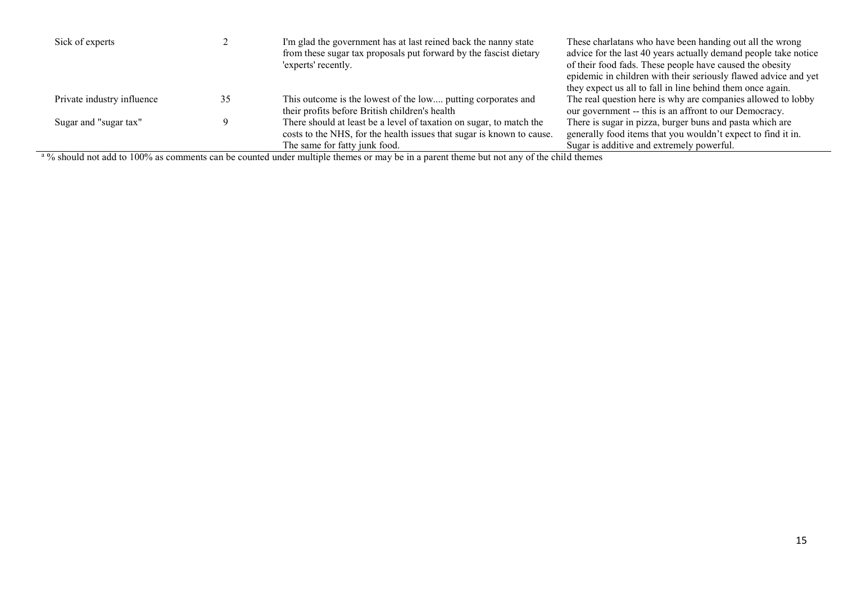| Sick of experts                                                                                                                                                                                                           |  | I'm glad the government has at last reined back the nanny state<br>from these sugar tax proposals put forward by the fascist dietary<br>'experts' recently.                   | These charlatans who have been handing out all the wrong<br>advice for the last 40 years actually demand people take notice<br>of their food fads. These people have caused the obesity<br>epidemic in children with their seriously flawed advice and yet<br>they expect us all to fall in line behind them once again. |  |  |
|---------------------------------------------------------------------------------------------------------------------------------------------------------------------------------------------------------------------------|--|-------------------------------------------------------------------------------------------------------------------------------------------------------------------------------|--------------------------------------------------------------------------------------------------------------------------------------------------------------------------------------------------------------------------------------------------------------------------------------------------------------------------|--|--|
| Private industry influence                                                                                                                                                                                                |  | This outcome is the lowest of the low putting corporates and<br>their profits before British children's health                                                                | The real question here is why are companies allowed to lobby<br>our government -- this is an affront to our Democracy.                                                                                                                                                                                                   |  |  |
| Sugar and "sugar tax"                                                                                                                                                                                                     |  | There should at least be a level of taxation on sugar, to match the<br>costs to the NHS, for the health issues that sugar is known to cause.<br>The same for fatty junk food. | There is sugar in pizza, burger buns and pasta which are<br>generally food items that you wouldn't expect to find it in.<br>Sugar is additive and extremely powerful.                                                                                                                                                    |  |  |
| $0/$ -1.1.1 and .1.1 and 1000/ comments in the constitution of the decision of the commutation of the construction of the state of the state of the state of the state of the state of the state of the state of the stat |  |                                                                                                                                                                               |                                                                                                                                                                                                                                                                                                                          |  |  |

<sup>a</sup>% should not add to 100% as comments can be counted under multiple themes or may be in a parent theme but not any of the child themes